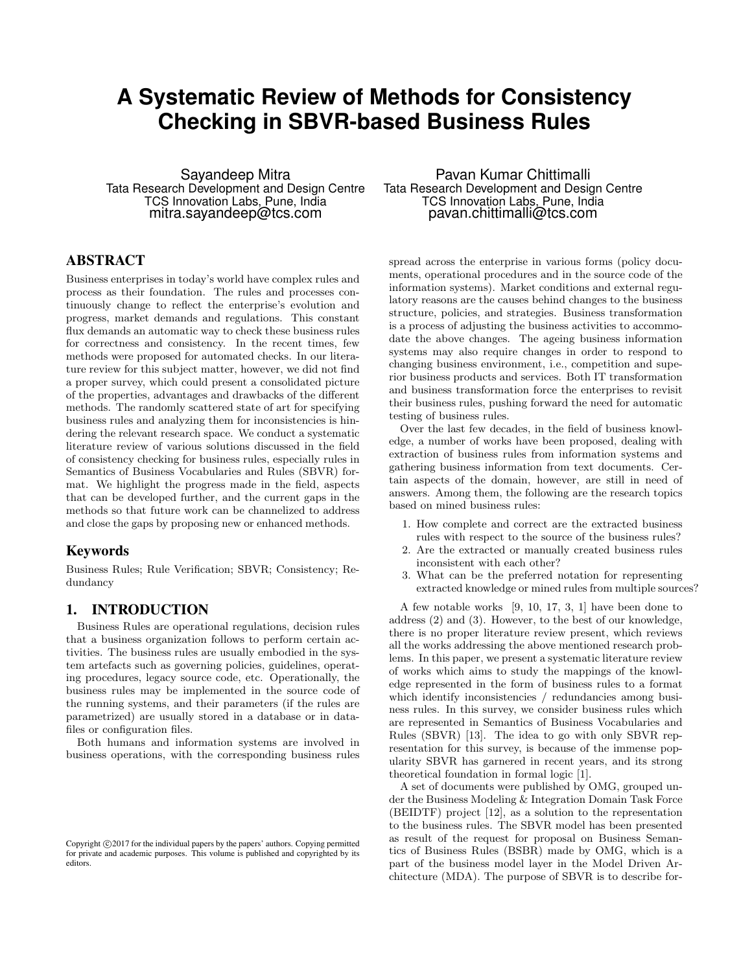# **A Systematic Review of Methods for Consistency Checking in SBVR-based Business Rules**

Sayandeep Mitra Tata Research Development and Design Centre TCS Innovation Labs, Pune, India mitra.sayandeep@tcs.com

## ABSTRACT

Business enterprises in today's world have complex rules and process as their foundation. The rules and processes continuously change to reflect the enterprise's evolution and progress, market demands and regulations. This constant flux demands an automatic way to check these business rules for correctness and consistency. In the recent times, few methods were proposed for automated checks. In our literature review for this subject matter, however, we did not find a proper survey, which could present a consolidated picture of the properties, advantages and drawbacks of the different methods. The randomly scattered state of art for specifying business rules and analyzing them for inconsistencies is hindering the relevant research space. We conduct a systematic literature review of various solutions discussed in the field of consistency checking for business rules, especially rules in Semantics of Business Vocabularies and Rules (SBVR) format. We highlight the progress made in the field, aspects that can be developed further, and the current gaps in the methods so that future work can be channelized to address and close the gaps by proposing new or enhanced methods.

#### Keywords

Business Rules; Rule Verification; SBVR; Consistency; Redundancy

## 1. INTRODUCTION

Business Rules are operational regulations, decision rules that a business organization follows to perform certain activities. The business rules are usually embodied in the system artefacts such as governing policies, guidelines, operating procedures, legacy source code, etc. Operationally, the business rules may be implemented in the source code of the running systems, and their parameters (if the rules are parametrized) are usually stored in a database or in datafiles or configuration files.

Both humans and information systems are involved in business operations, with the corresponding business rules

Pavan Kumar Chittimalli Tata Research Development and Design Centre TCS Innovation Labs, Pune, India pavan.chittimalli@tcs.com

spread across the enterprise in various forms (policy documents, operational procedures and in the source code of the information systems). Market conditions and external regulatory reasons are the causes behind changes to the business structure, policies, and strategies. Business transformation is a process of adjusting the business activities to accommodate the above changes. The ageing business information systems may also require changes in order to respond to changing business environment, i.e., competition and superior business products and services. Both IT transformation and business transformation force the enterprises to revisit their business rules, pushing forward the need for automatic testing of business rules.

Over the last few decades, in the field of business knowledge, a number of works have been proposed, dealing with extraction of business rules from information systems and gathering business information from text documents. Certain aspects of the domain, however, are still in need of answers. Among them, the following are the research topics based on mined business rules:

- 1. How complete and correct are the extracted business rules with respect to the source of the business rules?
- 2. Are the extracted or manually created business rules inconsistent with each other?
- 3. What can be the preferred notation for representing extracted knowledge or mined rules from multiple sources?

A few notable works [9, 10, 17, 3, 1] have been done to address (2) and (3). However, to the best of our knowledge, there is no proper literature review present, which reviews all the works addressing the above mentioned research problems. In this paper, we present a systematic literature review of works which aims to study the mappings of the knowledge represented in the form of business rules to a format which identify inconsistencies / redundancies among business rules. In this survey, we consider business rules which are represented in Semantics of Business Vocabularies and Rules (SBVR) [13]. The idea to go with only SBVR representation for this survey, is because of the immense popularity SBVR has garnered in recent years, and its strong theoretical foundation in formal logic [1].

A set of documents were published by OMG, grouped under the Business Modeling & Integration Domain Task Force (BEIDTF) project [12], as a solution to the representation to the business rules. The SBVR model has been presented as result of the request for proposal on Business Semantics of Business Rules (BSBR) made by OMG, which is a part of the business model layer in the Model Driven Architecture (MDA). The purpose of SBVR is to describe for-

Copyright  $\odot$  2017 for the individual papers by the papers' authors. Copying permitted for private and academic purposes. This volume is published and copyrighted by its editors.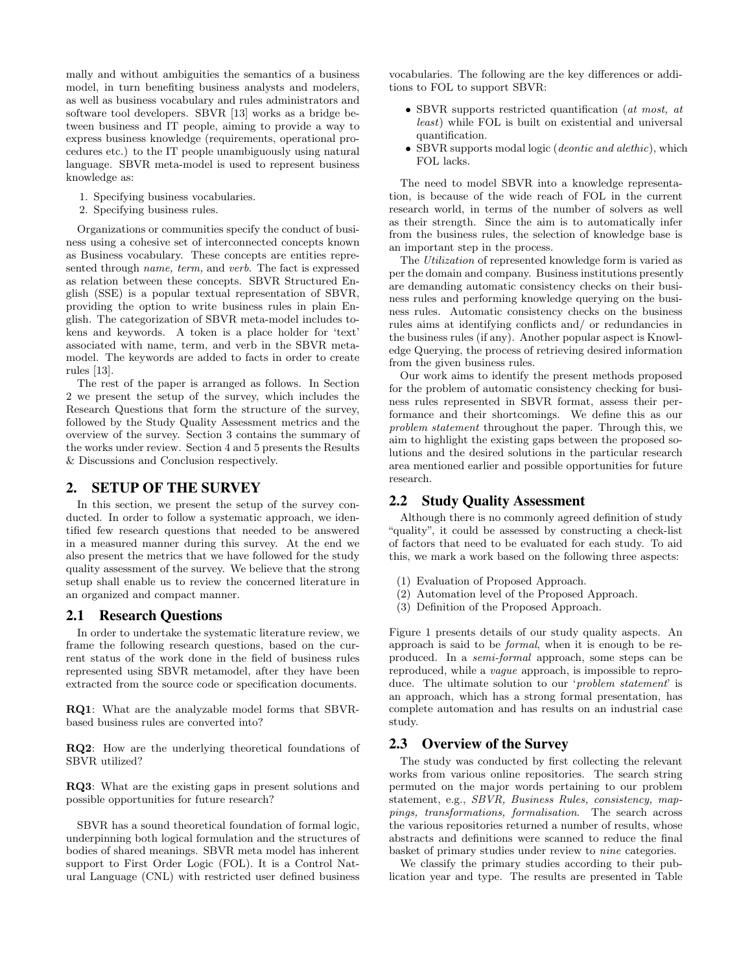mally and without ambiguities the semantics of a business model, in turn benefiting business analysts and modelers, as well as business vocabulary and rules administrators and software tool developers. SBVR [13] works as a bridge between business and IT people, aiming to provide a way to express business knowledge (requirements, operational procedures etc.) to the IT people unambiguously using natural language. SBVR meta-model is used to represent business knowledge as:

- 1. Specifying business vocabularies.
- 2. Specifying business rules.

Organizations or communities specify the conduct of business using a cohesive set of interconnected concepts known as Business vocabulary. These concepts are entities represented through name, term, and verb. The fact is expressed as relation between these concepts. SBVR Structured English (SSE) is a popular textual representation of SBVR, providing the option to write business rules in plain English. The categorization of SBVR meta-model includes tokens and keywords. A token is a place holder for 'text' associated with name, term, and verb in the SBVR metamodel. The keywords are added to facts in order to create rules [13].

The rest of the paper is arranged as follows. In Section 2 we present the setup of the survey, which includes the Research Questions that form the structure of the survey, followed by the Study Quality Assessment metrics and the overview of the survey. Section 3 contains the summary of the works under review. Section 4 and 5 presents the Results & Discussions and Conclusion respectively.

## 2. SETUP OF THE SURVEY

In this section, we present the setup of the survey conducted. In order to follow a systematic approach, we identified few research questions that needed to be answered in a measured manner during this survey. At the end we also present the metrics that we have followed for the study quality assessment of the survey. We believe that the strong setup shall enable us to review the concerned literature in an organized and compact manner.

#### 2.1 Research Questions

In order to undertake the systematic literature review, we frame the following research questions, based on the current status of the work done in the field of business rules represented using SBVR metamodel, after they have been extracted from the source code or specification documents.

RQ1: What are the analyzable model forms that SBVRbased business rules are converted into?

RQ2: How are the underlying theoretical foundations of SBVR utilized?

RQ3: What are the existing gaps in present solutions and possible opportunities for future research?

SBVR has a sound theoretical foundation of formal logic, underpinning both logical formulation and the structures of bodies of shared meanings. SBVR meta model has inherent support to First Order Logic (FOL). It is a Control Natural Language (CNL) with restricted user defined business vocabularies. The following are the key differences or additions to FOL to support SBVR:

- SBVR supports restricted quantification (at most, at least) while FOL is built on existential and universal quantification.
- SBVR supports modal logic (*deontic and alethic*), which FOL lacks.

The need to model SBVR into a knowledge representation, is because of the wide reach of FOL in the current research world, in terms of the number of solvers as well as their strength. Since the aim is to automatically infer from the business rules, the selection of knowledge base is an important step in the process.

The Utilization of represented knowledge form is varied as per the domain and company. Business institutions presently are demanding automatic consistency checks on their business rules and performing knowledge querying on the business rules. Automatic consistency checks on the business rules aims at identifying conflicts and/ or redundancies in the business rules (if any). Another popular aspect is Knowledge Querying, the process of retrieving desired information from the given business rules.

Our work aims to identify the present methods proposed for the problem of automatic consistency checking for business rules represented in SBVR format, assess their performance and their shortcomings. We define this as our problem statement throughout the paper. Through this, we aim to highlight the existing gaps between the proposed solutions and the desired solutions in the particular research area mentioned earlier and possible opportunities for future research.

## 2.2 Study Quality Assessment

Although there is no commonly agreed definition of study "quality", it could be assessed by constructing a check-list of factors that need to be evaluated for each study. To aid this, we mark a work based on the following three aspects:

- (1) Evaluation of Proposed Approach.
- (2) Automation level of the Proposed Approach.
- (3) Definition of the Proposed Approach.

Figure 1 presents details of our study quality aspects. An approach is said to be formal, when it is enough to be reproduced. In a semi-formal approach, some steps can be reproduced, while a vague approach, is impossible to reproduce. The ultimate solution to our 'problem statement' is an approach, which has a strong formal presentation, has complete automation and has results on an industrial case study.

#### 2.3 Overview of the Survey

The study was conducted by first collecting the relevant works from various online repositories. The search string permuted on the major words pertaining to our problem statement, e.g., SBVR, Business Rules, consistency, mappings, transformations, formalisation. The search across the various repositories returned a number of results, whose abstracts and definitions were scanned to reduce the final basket of primary studies under review to nine categories.

We classify the primary studies according to their publication year and type. The results are presented in Table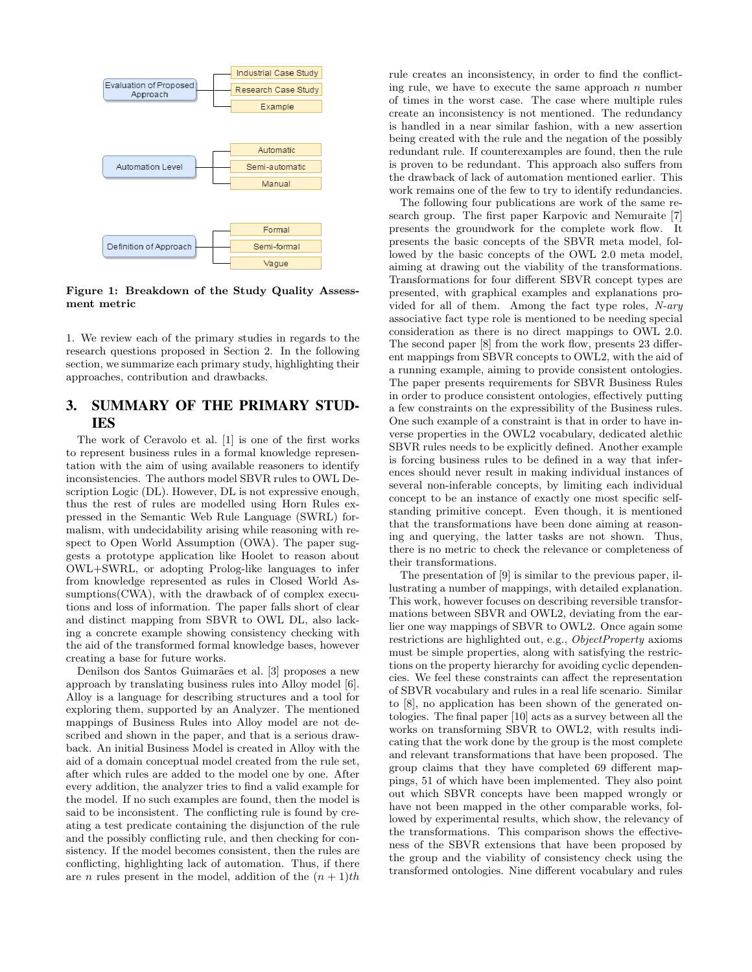

Figure 1: Breakdown of the Study Quality Assessment metric

1. We review each of the primary studies in regards to the research questions proposed in Section 2. In the following section, we summarize each primary study, highlighting their approaches, contribution and drawbacks.

# 3. SUMMARY OF THE PRIMARY STUD-IES

The work of Ceravolo et al. [1] is one of the first works to represent business rules in a formal knowledge representation with the aim of using available reasoners to identify inconsistencies. The authors model SBVR rules to OWL Description Logic (DL). However, DL is not expressive enough, thus the rest of rules are modelled using Horn Rules expressed in the Semantic Web Rule Language (SWRL) formalism, with undecidability arising while reasoning with respect to Open World Assumption (OWA). The paper suggests a prototype application like Hoolet to reason about OWL+SWRL, or adopting Prolog-like languages to infer from knowledge represented as rules in Closed World Assumptions(CWA), with the drawback of of complex executions and loss of information. The paper falls short of clear and distinct mapping from SBVR to OWL DL, also lacking a concrete example showing consistency checking with the aid of the transformed formal knowledge bases, however creating a base for future works.

Denilson dos Santos Guimarães et al. [3] proposes a new approach by translating business rules into Alloy model [6]. Alloy is a language for describing structures and a tool for exploring them, supported by an Analyzer. The mentioned mappings of Business Rules into Alloy model are not described and shown in the paper, and that is a serious drawback. An initial Business Model is created in Alloy with the aid of a domain conceptual model created from the rule set, after which rules are added to the model one by one. After every addition, the analyzer tries to find a valid example for the model. If no such examples are found, then the model is said to be inconsistent. The conflicting rule is found by creating a test predicate containing the disjunction of the rule and the possibly conflicting rule, and then checking for consistency. If the model becomes consistent, then the rules are conflicting, highlighting lack of automation. Thus, if there are *n* rules present in the model, addition of the  $(n + 1)$ th rule creates an inconsistency, in order to find the conflicting rule, we have to execute the same approach  $n$  number of times in the worst case. The case where multiple rules create an inconsistency is not mentioned. The redundancy is handled in a near similar fashion, with a new assertion being created with the rule and the negation of the possibly redundant rule. If counterexamples are found, then the rule is proven to be redundant. This approach also suffers from the drawback of lack of automation mentioned earlier. This work remains one of the few to try to identify redundancies.

The following four publications are work of the same research group. The first paper Karpovic and Nemuraite [7] presents the groundwork for the complete work flow. It presents the basic concepts of the SBVR meta model, followed by the basic concepts of the OWL 2.0 meta model, aiming at drawing out the viability of the transformations. Transformations for four different SBVR concept types are presented, with graphical examples and explanations provided for all of them. Among the fact type roles, N-ary associative fact type role is mentioned to be needing special consideration as there is no direct mappings to OWL 2.0. The second paper [8] from the work flow, presents 23 different mappings from SBVR concepts to OWL2, with the aid of a running example, aiming to provide consistent ontologies. The paper presents requirements for SBVR Business Rules in order to produce consistent ontologies, effectively putting a few constraints on the expressibility of the Business rules. One such example of a constraint is that in order to have inverse properties in the OWL2 vocabulary, dedicated alethic SBVR rules needs to be explicitly defined. Another example is forcing business rules to be defined in a way that inferences should never result in making individual instances of several non-inferable concepts, by limiting each individual concept to be an instance of exactly one most specific selfstanding primitive concept. Even though, it is mentioned that the transformations have been done aiming at reasoning and querying, the latter tasks are not shown. Thus, there is no metric to check the relevance or completeness of their transformations.

The presentation of [9] is similar to the previous paper, illustrating a number of mappings, with detailed explanation. This work, however focuses on describing reversible transformations between SBVR and OWL2, deviating from the earlier one way mappings of SBVR to OWL2. Once again some restrictions are highlighted out, e.g., ObjectProperty axioms must be simple properties, along with satisfying the restrictions on the property hierarchy for avoiding cyclic dependencies. We feel these constraints can affect the representation of SBVR vocabulary and rules in a real life scenario. Similar to [8], no application has been shown of the generated ontologies. The final paper [10] acts as a survey between all the works on transforming SBVR to OWL2, with results indicating that the work done by the group is the most complete and relevant transformations that have been proposed. The group claims that they have completed 69 different mappings, 51 of which have been implemented. They also point out which SBVR concepts have been mapped wrongly or have not been mapped in the other comparable works, followed by experimental results, which show, the relevancy of the transformations. This comparison shows the effectiveness of the SBVR extensions that have been proposed by the group and the viability of consistency check using the transformed ontologies. Nine different vocabulary and rules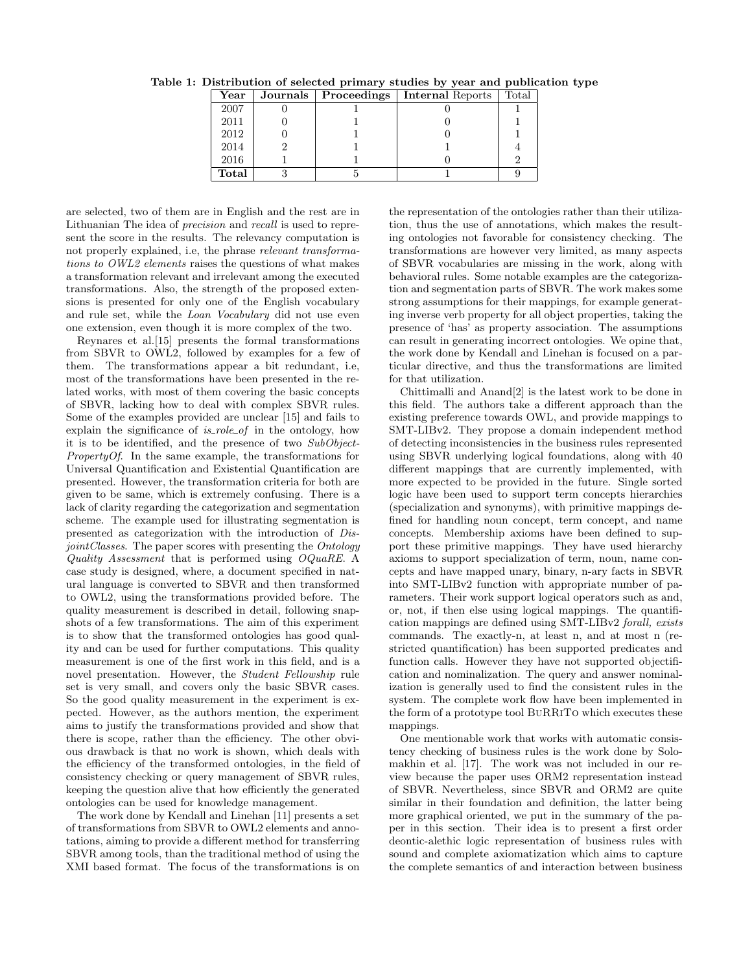| $\operatorname{Year}$ | Journals   Proceedings | <b>Internal Reports</b> | Total |
|-----------------------|------------------------|-------------------------|-------|
| 2007                  |                        |                         |       |
| 2011                  |                        |                         |       |
| 2012                  |                        |                         |       |
| 2014                  |                        |                         |       |
| 2016                  |                        |                         |       |
| Total                 |                        |                         |       |

Table 1: Distribution of selected primary studies by year and publication type

are selected, two of them are in English and the rest are in Lithuanian The idea of precision and recall is used to represent the score in the results. The relevancy computation is not properly explained, i.e, the phrase relevant transformations to OWL2 elements raises the questions of what makes a transformation relevant and irrelevant among the executed transformations. Also, the strength of the proposed extensions is presented for only one of the English vocabulary and rule set, while the Loan Vocabulary did not use even one extension, even though it is more complex of the two.

Reynares et al.[15] presents the formal transformations from SBVR to OWL2, followed by examples for a few of them. The transformations appear a bit redundant, i.e, most of the transformations have been presented in the related works, with most of them covering the basic concepts of SBVR, lacking how to deal with complex SBVR rules. Some of the examples provided are unclear [15] and fails to explain the significance of  $is_{\text{role_of}}$  in the ontology, how it is to be identified, and the presence of two SubObject-PropertyOf. In the same example, the transformations for Universal Quantification and Existential Quantification are presented. However, the transformation criteria for both are given to be same, which is extremely confusing. There is a lack of clarity regarding the categorization and segmentation scheme. The example used for illustrating segmentation is presented as categorization with the introduction of DisjointClasses. The paper scores with presenting the Ontology Quality Assessment that is performed using OQuaRE. A case study is designed, where, a document specified in natural language is converted to SBVR and then transformed to OWL2, using the transformations provided before. The quality measurement is described in detail, following snapshots of a few transformations. The aim of this experiment is to show that the transformed ontologies has good quality and can be used for further computations. This quality measurement is one of the first work in this field, and is a novel presentation. However, the Student Fellowship rule set is very small, and covers only the basic SBVR cases. So the good quality measurement in the experiment is expected. However, as the authors mention, the experiment aims to justify the transformations provided and show that there is scope, rather than the efficiency. The other obvious drawback is that no work is shown, which deals with the efficiency of the transformed ontologies, in the field of consistency checking or query management of SBVR rules, keeping the question alive that how efficiently the generated ontologies can be used for knowledge management.

The work done by Kendall and Linehan [11] presents a set of transformations from SBVR to OWL2 elements and annotations, aiming to provide a different method for transferring SBVR among tools, than the traditional method of using the XMI based format. The focus of the transformations is on the representation of the ontologies rather than their utilization, thus the use of annotations, which makes the resulting ontologies not favorable for consistency checking. The transformations are however very limited, as many aspects of SBVR vocabularies are missing in the work, along with behavioral rules. Some notable examples are the categorization and segmentation parts of SBVR. The work makes some strong assumptions for their mappings, for example generating inverse verb property for all object properties, taking the presence of 'has' as property association. The assumptions can result in generating incorrect ontologies. We opine that, the work done by Kendall and Linehan is focused on a particular directive, and thus the transformations are limited for that utilization.

Chittimalli and Anand[2] is the latest work to be done in this field. The authors take a different approach than the existing preference towards OWL, and provide mappings to SMT-LIBv2. They propose a domain independent method of detecting inconsistencies in the business rules represented using SBVR underlying logical foundations, along with 40 different mappings that are currently implemented, with more expected to be provided in the future. Single sorted logic have been used to support term concepts hierarchies (specialization and synonyms), with primitive mappings defined for handling noun concept, term concept, and name concepts. Membership axioms have been defined to support these primitive mappings. They have used hierarchy axioms to support specialization of term, noun, name concepts and have mapped unary, binary, n-ary facts in SBVR into SMT-LIBv2 function with appropriate number of parameters. Their work support logical operators such as and, or, not, if then else using logical mappings. The quantification mappings are defined using SMT-LIBv2 forall, exists commands. The exactly-n, at least n, and at most n (restricted quantification) has been supported predicates and function calls. However they have not supported objectification and nominalization. The query and answer nominalization is generally used to find the consistent rules in the system. The complete work flow have been implemented in the form of a prototype tool BuRRiTo which executes these mappings.

One mentionable work that works with automatic consistency checking of business rules is the work done by Solomakhin et al. [17]. The work was not included in our review because the paper uses ORM2 representation instead of SBVR. Nevertheless, since SBVR and ORM2 are quite similar in their foundation and definition, the latter being more graphical oriented, we put in the summary of the paper in this section. Their idea is to present a first order deontic-alethic logic representation of business rules with sound and complete axiomatization which aims to capture the complete semantics of and interaction between business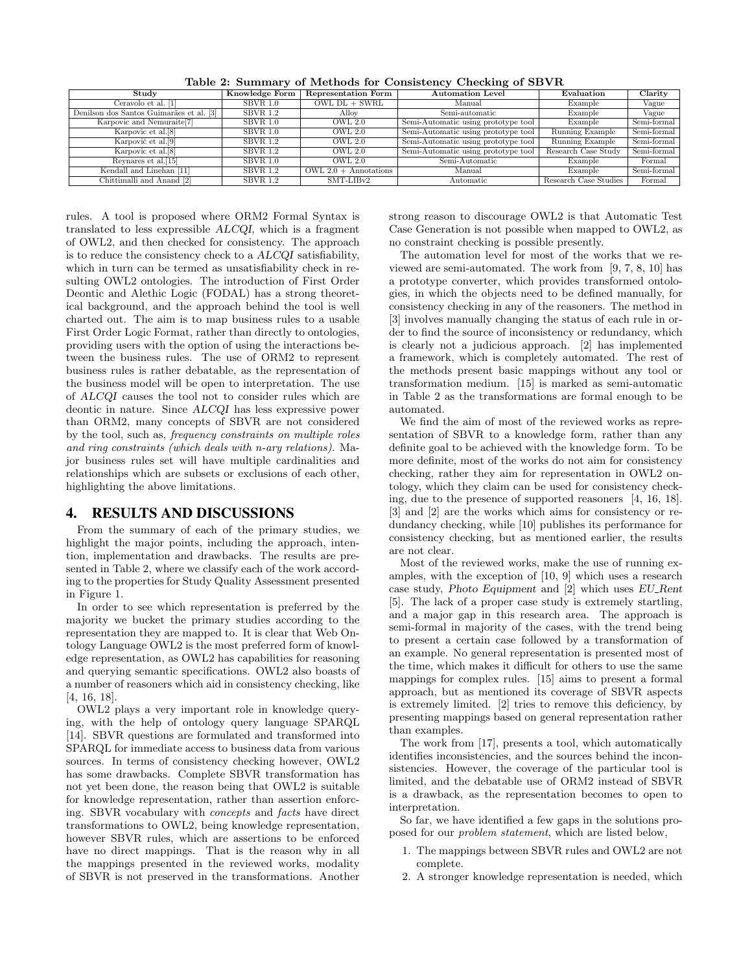| Study                                    | Knowledge Form  | Representation Form     | <b>Automation Level</b>             | Evaluation            | Clarity     |
|------------------------------------------|-----------------|-------------------------|-------------------------------------|-----------------------|-------------|
| Ceravolo et al. [1]                      | <b>SBVR 1.0</b> | $OWL DL + SWRL$         | Manual                              | Example               | Vague       |
| Denilson dos Santos Guimarães et al. [3] | SBVR 1.2        | Alloy                   | Semi-automatic                      | Example               | Vague       |
| Karpovic and Nemuraite <sup>[7]</sup>    | SBVR 1.0        | OWL 2.0                 | Semi-Automatic using prototype tool | Example               | Semi-formal |
| Karpovic et al.[8]                       | $SBVR$ 1.0      | <b>OWL 2.0</b>          | Semi-Automatic using prototype tool | Running Example       | Semi-formal |
| Karpovič et al. <sup>[9]</sup>           | SBVR 1.2        | <b>OWL 2.0</b>          | Semi-Automatic using prototype tool | Running Example       | Semi-formal |
| Karpovic et al. <sup>[8]</sup>           | <b>SBVR 1.2</b> | OWL <sub>2.0</sub>      | Semi-Automatic using prototype tool | Research Case Study   | Semi-formal |
| Reynares et al. <sup>[15]</sup>          | $SBVR$ 1.0      | OWL <sub>2.0</sub>      | Semi-Automatic                      | Example               | Formal      |
| Kendall and Linehan [11]                 | <b>SBVR 1.2</b> | OWL $2.0 +$ Annotations | Manual                              | Example               | Semi-formal |
| Chittimalli and Anand [2]                | <b>SBVR 1.2</b> | $SMT-LIBv2$             | Automatic                           | Research Case Studies | Formal      |

Table 2: Summary of Methods for Consistency Checking of SBVR

rules. A tool is proposed where ORM2 Formal Syntax is translated to less expressible ALCQI, which is a fragment of OWL2, and then checked for consistency. The approach is to reduce the consistency check to a ALCQI satisfiability, which in turn can be termed as unsatisfiability check in resulting OWL2 ontologies. The introduction of First Order Deontic and Alethic Logic (FODAL) has a strong theoretical background, and the approach behind the tool is well charted out. The aim is to map business rules to a usable First Order Logic Format, rather than directly to ontologies, providing users with the option of using the interactions between the business rules. The use of ORM2 to represent business rules is rather debatable, as the representation of the business model will be open to interpretation. The use of ALCQI causes the tool not to consider rules which are deontic in nature. Since ALCQI has less expressive power than ORM2, many concepts of SBVR are not considered by the tool, such as, frequency constraints on multiple roles and ring constraints (which deals with n-ary relations). Major business rules set will have multiple cardinalities and relationships which are subsets or exclusions of each other, highlighting the above limitations.

#### 4. RESULTS AND DISCUSSIONS

From the summary of each of the primary studies, we highlight the major points, including the approach, intention, implementation and drawbacks. The results are presented in Table 2, where we classify each of the work according to the properties for Study Quality Assessment presented in Figure 1.

In order to see which representation is preferred by the majority we bucket the primary studies according to the representation they are mapped to. It is clear that Web Ontology Language OWL2 is the most preferred form of knowledge representation, as OWL2 has capabilities for reasoning and querying semantic specifications. OWL2 also boasts of a number of reasoners which aid in consistency checking, like [4, 16, 18].

OWL2 plays a very important role in knowledge querying, with the help of ontology query language SPARQL [14]. SBVR questions are formulated and transformed into SPARQL for immediate access to business data from various sources. In terms of consistency checking however, OWL2 has some drawbacks. Complete SBVR transformation has not yet been done, the reason being that OWL2 is suitable for knowledge representation, rather than assertion enforcing. SBVR vocabulary with concepts and facts have direct transformations to OWL2, being knowledge representation, however SBVR rules, which are assertions to be enforced have no direct mappings. That is the reason why in all the mappings presented in the reviewed works, modality of SBVR is not preserved in the transformations. Another strong reason to discourage OWL2 is that Automatic Test Case Generation is not possible when mapped to OWL2, as no constraint checking is possible presently.

The automation level for most of the works that we reviewed are semi-automated. The work from [9, 7, 8, 10] has a prototype converter, which provides transformed ontologies, in which the objects need to be defined manually, for consistency checking in any of the reasoners. The method in [3] involves manually changing the status of each rule in order to find the source of inconsistency or redundancy, which is clearly not a judicious approach. [2] has implemented a framework, which is completely automated. The rest of the methods present basic mappings without any tool or transformation medium. [15] is marked as semi-automatic in Table 2 as the transformations are formal enough to be automated.

We find the aim of most of the reviewed works as representation of SBVR to a knowledge form, rather than any definite goal to be achieved with the knowledge form. To be more definite, most of the works do not aim for consistency checking, rather they aim for representation in OWL2 ontology, which they claim can be used for consistency checking, due to the presence of supported reasoners [4, 16, 18]. [3] and [2] are the works which aims for consistency or redundancy checking, while [10] publishes its performance for consistency checking, but as mentioned earlier, the results are not clear.

Most of the reviewed works, make the use of running examples, with the exception of [10, 9] which uses a research case study, Photo Equipment and [2] which uses EU Rent [5]. The lack of a proper case study is extremely startling, and a major gap in this research area. The approach is semi-formal in majority of the cases, with the trend being to present a certain case followed by a transformation of an example. No general representation is presented most of the time, which makes it difficult for others to use the same mappings for complex rules. [15] aims to present a formal approach, but as mentioned its coverage of SBVR aspects is extremely limited. [2] tries to remove this deficiency, by presenting mappings based on general representation rather than examples.

The work from [17], presents a tool, which automatically identifies inconsistencies, and the sources behind the inconsistencies. However, the coverage of the particular tool is limited, and the debatable use of ORM2 instead of SBVR is a drawback, as the representation becomes to open to interpretation.

So far, we have identified a few gaps in the solutions proposed for our problem statement, which are listed below,

- 1. The mappings between SBVR rules and OWL2 are not complete.
- 2. A stronger knowledge representation is needed, which